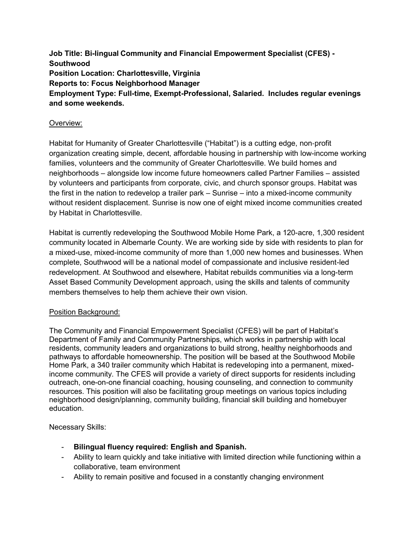**Job Title: Bi-lingual Community and Financial Empowerment Specialist (CFES) - Southwood Position Location: Charlottesville, Virginia Reports to: Focus Neighborhood Manager Employment Type: Full-time, Exempt-Professional, Salaried. Includes regular evenings and some weekends.**

## Overview:

Habitat for Humanity of Greater Charlottesville ("Habitat") is a cutting edge, non‐profit organization creating simple, decent, affordable housing in partnership with low-income working families, volunteers and the community of Greater Charlottesville. We build homes and neighborhoods – alongside low income future homeowners called Partner Families – assisted by volunteers and participants from corporate, civic, and church sponsor groups. Habitat was the first in the nation to redevelop a trailer park – Sunrise – into a mixed-income community without resident displacement. Sunrise is now one of eight mixed income communities created by Habitat in Charlottesville.

Habitat is currently redeveloping the Southwood Mobile Home Park, a 120-acre, 1,300 resident community located in Albemarle County. We are working side by side with residents to plan for a mixed-use, mixed-income community of more than 1,000 new homes and businesses. When complete, Southwood will be a national model of compassionate and inclusive resident-led redevelopment. At Southwood and elsewhere, Habitat rebuilds communities via a long-term Asset Based Community Development approach, using the skills and talents of community members themselves to help them achieve their own vision.

## Position Background:

The Community and Financial Empowerment Specialist (CFES) will be part of Habitat's Department of Family and Community Partnerships, which works in partnership with local residents, community leaders and organizations to build strong, healthy neighborhoods and pathways to affordable homeownership. The position will be based at the Southwood Mobile Home Park, a 340 trailer community which Habitat is redeveloping into a permanent, mixedincome community. The CFES will provide a variety of direct supports for residents including outreach, one-on-one financial coaching, housing counseling, and connection to community resources. This position will also be facilitating group meetings on various topics including neighborhood design/planning, community building, financial skill building and homebuyer education.

Necessary Skills:

- **Bilingual fluency required: English and Spanish.**
- Ability to learn quickly and take initiative with limited direction while functioning within a collaborative, team environment
- Ability to remain positive and focused in a constantly changing environment